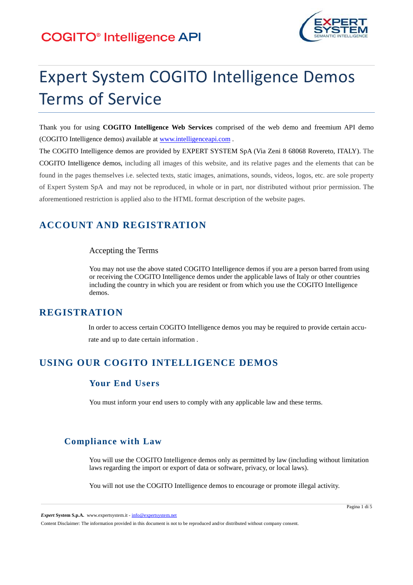

# Expert System COGITO Intelligence Demos Terms of Service

Thank you for using **COGITO Intelligence Web Services** comprised of the web demo and freemium API demo (COGITO Intelligence demos) available at www.intelligenceapi.com .

The COGITO Intelligence demos are provided by EXPERT SYSTEM SpA (Via Zeni 8 68068 Rovereto, ITALY). The COGITO Intelligence demos, including all images of this website, and its relative pages and the elements that can be found in the pages themselves i.e. selected texts, static images, animations, sounds, videos, logos, etc. are sole property of Expert System SpA and may not be reproduced, in whole or in part, nor distributed without prior permission. The aforementioned restriction is applied also to the HTML format description of the website pages.

# **ACCOUNT AND REGISTRATION**

#### Accepting the Terms

You may not use the above stated COGITO Intelligence demos if you are a person barred from using or receiving the COGITO Intelligence demos under the applicable laws of Italy or other countries including the country in which you are resident or from which you use the COGITO Intelligence demos.

### **REGISTRATION**

In order to access certain COGITO Intelligence demos you may be required to provide certain accurate and up to date certain information .

# **USING OUR COGITO INTELLIGENCE DEMOS**

### **Your End Users**

You must inform your end users to comply with any applicable law and these terms.

### **Compliance with Law**

You will use the COGITO Intelligence demos only as permitted by law (including without limitation laws regarding the import or export of data or software, privacy, or local laws).

You will not use the COGITO Intelligence demos to encourage or promote illegal activity.

*Expert* **System S.p.A.** www.expertsystem.it - info@expertsystem.net

Content Disclaimer: The information provided in this document is not to be reproduced and/or distributed without company consent.

Pagina 1 di 5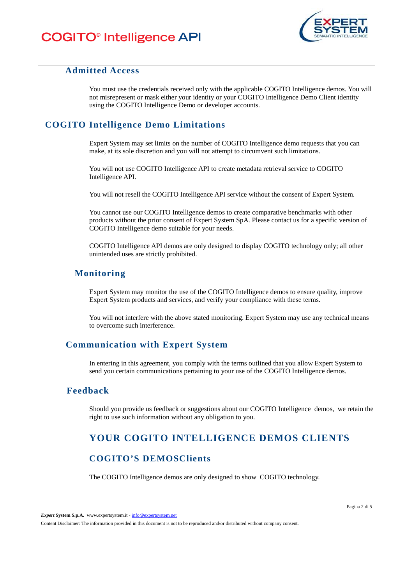

### **Admitted Access**

You must use the credentials received only with the applicable COGITO Intelligence demos. You will not misrepresent or mask either your identity or your COGITO Intelligence Demo Client identity using the COGITO Intelligence Demo or developer accounts.

### **COGITO Intelligence Demo Limitations**

Expert System may set limits on the number of COGITO Intelligence demo requests that you can make, at its sole discretion and you will not attempt to circumvent such limitations.

You will not use COGITO Intelligence API to create metadata retrieval service to COGITO Intelligence API.

You will not resell the COGITO Intelligence API service without the consent of Expert System.

You cannot use our COGITO Intelligence demos to create comparative benchmarks with other products without the prior consent of Expert System SpA. Please contact us for a specific version of COGITO Intelligence demo suitable for your needs.

COGITO Intelligence API demos are only designed to display COGITO technology only; all other unintended uses are strictly prohibited.

### **Monitoring**

Expert System may monitor the use of the COGITO Intelligence demos to ensure quality, improve Expert System products and services, and verify your compliance with these terms.

You will not interfere with the above stated monitoring. Expert System may use any technical means to overcome such interference.

### **Communication with Expert System**

In entering in this agreement, you comply with the terms outlined that you allow Expert System to send you certain communications pertaining to your use of the COGITO Intelligence demos.

### **Feedback**

Should you provide us feedback or suggestions about our COGITO Intelligence demos, we retain the right to use such information without any obligation to you.

# **YOUR COGITO INTELLIGENCE DEMOS CLIENTS**

### **COGITO'S DEMOSClients**

The COGITO Intelligence demos are only designed to show COGITO technology.

*Expert* **System S.p.A.** www.expertsystem.it - info@expertsystem.net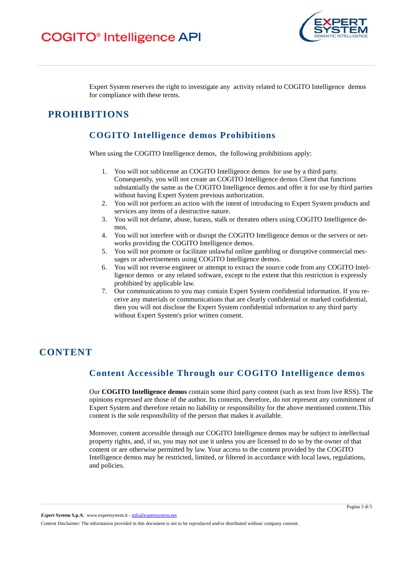

Expert System reserves the right to investigate any activity related to COGITO Intelligence demos for compliance with these terms.

### **PROHIBITIONS**

### **COGITO Intelligence demos Prohibitions**

When using the COGITO Intelligence demos, the following prohibitions apply:

- 1. You will not sublicense an COGITO Intelligence demos for use by a third party. Consequently, you will not create an COGITO Intelligence demos Client that functions substantially the same as the COGITO Intelligence demos and offer it for use by third parties without having Expert System previous authorization.
- 2. You will not perform an action with the intent of introducing to Expert System products and services any items of a destructive nature.
- 3. You will not defame, abuse, harass, stalk or threaten others using COGITO Intelligence demos.
- 4. You will not interfere with or disrupt the COGITO Intelligence demos or the servers or networks providing the COGITO Intelligence demos.
- 5. You will not promote or facilitate unlawful online gambling or disruptive commercial messages or advertisements using COGITO Intelligence demos.
- 6. You will not reverse engineer or attempt to extract the source code from any COGITO Intelligence demos or any related software, except to the extent that this restriction is expressly prohibited by applicable law.
- 7. Our communications to you may contain Expert System confidential information. If you receive any materials or communications that are clearly confidential or marked confidential, then you will not disclose the Expert System confidential information to any third party without Expert System's prior written consent.

# **CONTENT**

### **Content Accessible Through our COGITO Intelligence demos**

Our **COGITO Intelligence demos** contain some third party content (such as text from live RSS). The opinions expressed are those of the author. Its contents, therefore, do not represent any commitment of Expert System and therefore retain no liability or responsibility for the above mentioned content.This content is the sole responsibility of the person that makes it available.

Moreover, content accessible through our COGITO Intelligence demos may be subject to intellectual property rights, and, if so, you may not use it unless you are licensed to do so by the owner of that content or are otherwise permitted by law. Your access to the content provided by the COGITO Intelligence demos may be restricted, limited, or filtered in accordance with local laws, regulations, and policies.

*Expert* **System S.p.A.** www.expertsystem.it - info@expertsystem.net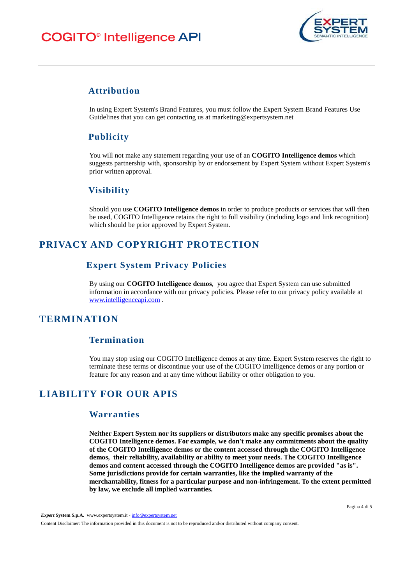# **COGITO®** Intelligence API



### **Attribution**

In using Expert System's Brand Features, you must follow the Expert System Brand Features Use Guidelines that you can get contacting us at marketing@expertsystem.net

### **Publicity**

You will not make any statement regarding your use of an **COGITO Intelligence demos** which suggests partnership with, sponsorship by or endorsement by Expert System without Expert System's prior written approval.

### **Visibility**

Should you use **COGITO Intelligence demos** in order to produce products or services that will then be used, COGITO Intelligence retains the right to full visibility (including logo and link recognition) which should be prior approved by Expert System.

# **PRIVACY AND COPYRIGHT PROTECTION**

### **Expert System Privacy Policies**

By using our **COGITO Intelligence demos**, you agree that Expert System can use submitted information in accordance with our privacy policies. Please refer to our privacy policy available at www.intelligenceapi.com .

# **TERMINATION**

### **Termination**

You may stop using our COGITO Intelligence demos at any time. Expert System reserves the right to terminate these terms or discontinue your use of the COGITO Intelligence demos or any portion or feature for any reason and at any time without liability or other obligation to you.

# **LIABILITY FOR OUR APIS**

#### **Warranties**

**Neither Expert System nor its suppliers or distributors make any specific promises about the COGITO Intelligence demos. For example, we don't make any commitments about the quality of the COGITO Intelligence demos or the content accessed through the COGITO Intelligence demos, their reliability, availability or ability to meet your needs. The COGITO Intelligence demos and content accessed through the COGITO Intelligence demos are provided "as is". Some jurisdictions provide for certain warranties, like the implied warranty of the merchantability, fitness for a particular purpose and non-infringement. To the extent permitted by law, we exclude all implied warranties.** 

*Expert* **System S.p.A.** www.expertsystem.it - info@expertsystem.net